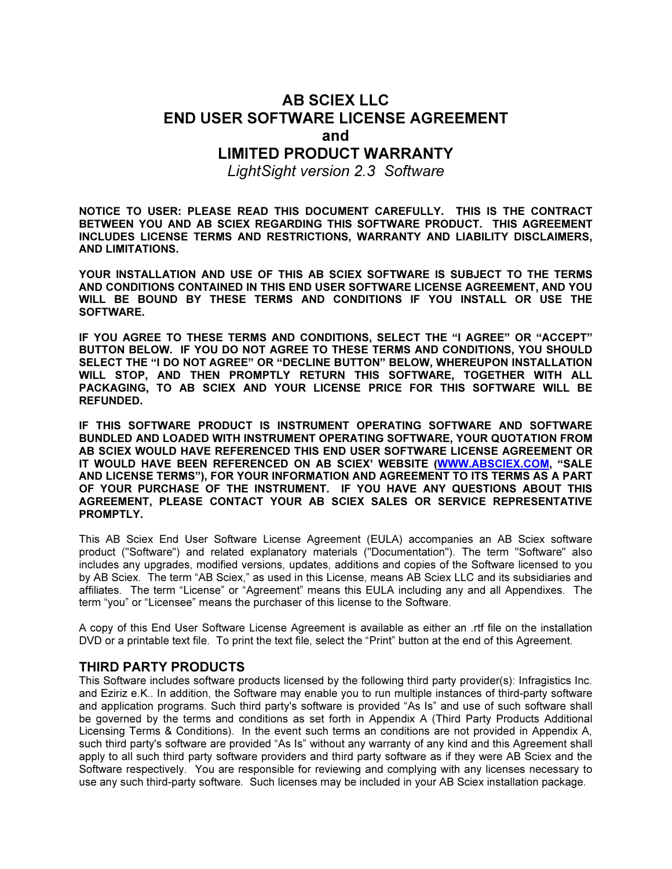# AB SCIEX LLC END USER SOFTWARE LICENSE AGREEMENT and

## LIMITED PRODUCT WARRANTY

LightSight version 2.3 Software

NOTICE TO USER: PLEASE READ THIS DOCUMENT CAREFULLY. THIS IS THE CONTRACT BETWEEN YOU AND AB SCIEX REGARDING THIS SOFTWARE PRODUCT. THIS AGREEMENT INCLUDES LICENSE TERMS AND RESTRICTIONS, WARRANTY AND LIABILITY DISCLAIMERS, AND LIMITATIONS.

YOUR INSTALLATION AND USE OF THIS AB SCIEX SOFTWARE IS SUBJECT TO THE TERMS AND CONDITIONS CONTAINED IN THIS END USER SOFTWARE LICENSE AGREEMENT, AND YOU WILL BE BOUND BY THESE TERMS AND CONDITIONS IF YOU INSTALL OR USE THE SOFTWARE.

IF YOU AGREE TO THESE TERMS AND CONDITIONS, SELECT THE "I AGREE" OR "ACCEPT" BUTTON BELOW. IF YOU DO NOT AGREE TO THESE TERMS AND CONDITIONS, YOU SHOULD SELECT THE "I DO NOT AGREE" OR "DECLINE BUTTON" BELOW, WHEREUPON INSTALLATION WILL STOP, AND THEN PROMPTLY RETURN THIS SOFTWARE, TOGETHER WITH ALL PACKAGING, TO AB SCIEX AND YOUR LICENSE PRICE FOR THIS SOFTWARE WILL BE REFUNDED.

IF THIS SOFTWARE PRODUCT IS INSTRUMENT OPERATING SOFTWARE AND SOFTWARE BUNDLED AND LOADED WITH INSTRUMENT OPERATING SOFTWARE, YOUR QUOTATION FROM AB SCIEX WOULD HAVE REFERENCED THIS END USER SOFTWARE LICENSE AGREEMENT OR IT WOULD HAVE BEEN REFERENCED ON AB SCIEX' WEBSITE (WWW.ABSCIEX.COM, "SALE AND LICENSE TERMS"), FOR YOUR INFORMATION AND AGREEMENT TO ITS TERMS AS A PART OF YOUR PURCHASE OF THE INSTRUMENT. IF YOU HAVE ANY QUESTIONS ABOUT THIS AGREEMENT, PLEASE CONTACT YOUR AB SCIEX SALES OR SERVICE REPRESENTATIVE PROMPTLY.

This AB Sciex End User Software License Agreement (EULA) accompanies an AB Sciex software product ("Software") and related explanatory materials ("Documentation"). The term "Software" also includes any upgrades, modified versions, updates, additions and copies of the Software licensed to you by AB Sciex. The term "AB Sciex," as used in this License, means AB Sciex LLC and its subsidiaries and affiliates. The term "License" or "Agreement" means this EULA including any and all Appendixes. The term "you" or "Licensee" means the purchaser of this license to the Software.

A copy of this End User Software License Agreement is available as either an .rtf file on the installation DVD or a printable text file. To print the text file, select the "Print" button at the end of this Agreement.

#### THIRD PARTY PRODUCTS

This Software includes software products licensed by the following third party provider(s): Infragistics Inc. and Eziriz e.K.. In addition, the Software may enable you to run multiple instances of third-party software and application programs. Such third party's software is provided "As Is" and use of such software shall be governed by the terms and conditions as set forth in Appendix A (Third Party Products Additional Licensing Terms & Conditions). In the event such terms an conditions are not provided in Appendix A, such third party's software are provided "As Is" without any warranty of any kind and this Agreement shall apply to all such third party software providers and third party software as if they were AB Sciex and the Software respectively. You are responsible for reviewing and complying with any licenses necessary to use any such third-party software. Such licenses may be included in your AB Sciex installation package.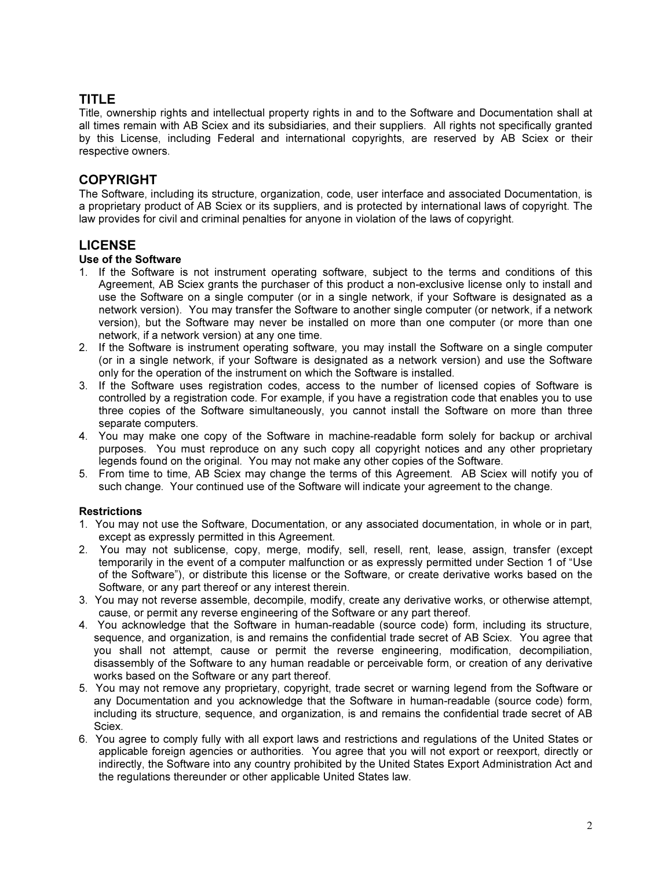# TITLE

Title, ownership rights and intellectual property rights in and to the Software and Documentation shall at all times remain with AB Sciex and its subsidiaries, and their suppliers. All rights not specifically granted by this License, including Federal and international copyrights, are reserved by AB Sciex or their respective owners.

### COPYRIGHT

The Software, including its structure, organization, code, user interface and associated Documentation, is a proprietary product of AB Sciex or its suppliers, and is protected by international laws of copyright. The law provides for civil and criminal penalties for anyone in violation of the laws of copyright.

### LICENSE

#### Use of the Software

- 1. If the Software is not instrument operating software, subject to the terms and conditions of this Agreement, AB Sciex grants the purchaser of this product a non-exclusive license only to install and use the Software on a single computer (or in a single network, if your Software is designated as a network version). You may transfer the Software to another single computer (or network, if a network version), but the Software may never be installed on more than one computer (or more than one network, if a network version) at any one time.
- 2. If the Software is instrument operating software, you may install the Software on a single computer (or in a single network, if your Software is designated as a network version) and use the Software only for the operation of the instrument on which the Software is installed.
- 3. If the Software uses registration codes, access to the number of licensed copies of Software is controlled by a registration code. For example, if you have a registration code that enables you to use three copies of the Software simultaneously, you cannot install the Software on more than three separate computers.
- 4. You may make one copy of the Software in machine-readable form solely for backup or archival purposes. You must reproduce on any such copy all copyright notices and any other proprietary legends found on the original. You may not make any other copies of the Software.
- 5. From time to time, AB Sciex may change the terms of this Agreement. AB Sciex will notify you of such change. Your continued use of the Software will indicate your agreement to the change.

#### **Restrictions**

- 1. You may not use the Software, Documentation, or any associated documentation, in whole or in part, except as expressly permitted in this Agreement.
- 2. You may not sublicense, copy, merge, modify, sell, resell, rent, lease, assign, transfer (except temporarily in the event of a computer malfunction or as expressly permitted under Section 1 of "Use of the Software"), or distribute this license or the Software, or create derivative works based on the Software, or any part thereof or any interest therein.
- 3. You may not reverse assemble, decompile, modify, create any derivative works, or otherwise attempt, cause, or permit any reverse engineering of the Software or any part thereof.
- 4. You acknowledge that the Software in human-readable (source code) form, including its structure, sequence, and organization, is and remains the confidential trade secret of AB Sciex. You agree that you shall not attempt, cause or permit the reverse engineering, modification, decompiliation, disassembly of the Software to any human readable or perceivable form, or creation of any derivative works based on the Software or any part thereof.
- 5. You may not remove any proprietary, copyright, trade secret or warning legend from the Software or any Documentation and you acknowledge that the Software in human-readable (source code) form, including its structure, sequence, and organization, is and remains the confidential trade secret of AB Sciex.
- 6. You agree to comply fully with all export laws and restrictions and regulations of the United States or applicable foreign agencies or authorities. You agree that you will not export or reexport, directly or indirectly, the Software into any country prohibited by the United States Export Administration Act and the regulations thereunder or other applicable United States law.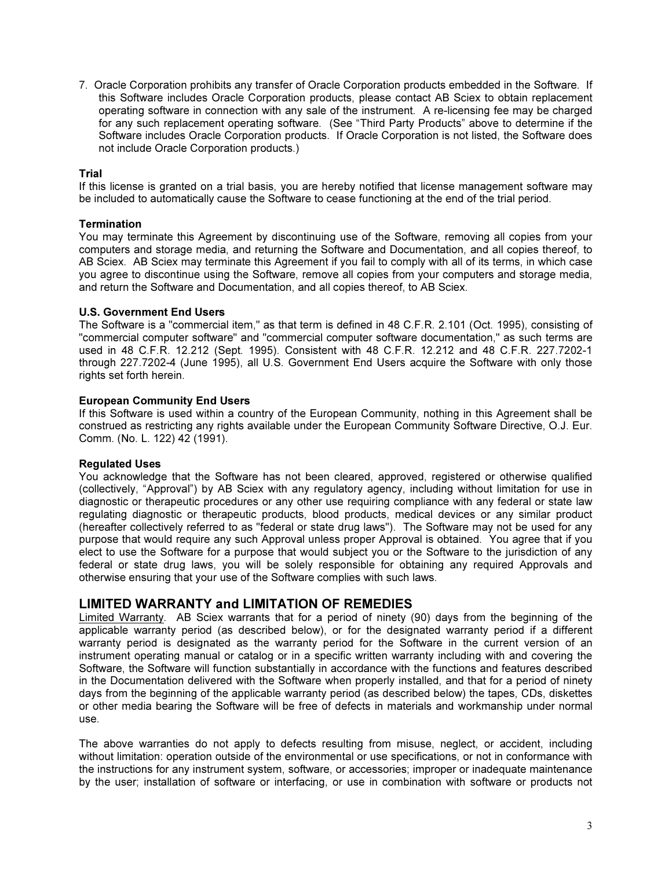7. Oracle Corporation prohibits any transfer of Oracle Corporation products embedded in the Software. If this Software includes Oracle Corporation products, please contact AB Sciex to obtain replacement operating software in connection with any sale of the instrument. A re-licensing fee may be charged for any such replacement operating software. (See "Third Party Products" above to determine if the Software includes Oracle Corporation products. If Oracle Corporation is not listed, the Software does not include Oracle Corporation products.)

#### Trial

If this license is granted on a trial basis, you are hereby notified that license management software may be included to automatically cause the Software to cease functioning at the end of the trial period.

#### **Termination**

You may terminate this Agreement by discontinuing use of the Software, removing all copies from your computers and storage media, and returning the Software and Documentation, and all copies thereof, to AB Sciex. AB Sciex may terminate this Agreement if you fail to comply with all of its terms, in which case you agree to discontinue using the Software, remove all copies from your computers and storage media, and return the Software and Documentation, and all copies thereof, to AB Sciex.

#### U.S. Government End Users

The Software is a "commercial item," as that term is defined in 48 C.F.R. 2.101 (Oct. 1995), consisting of "commercial computer software" and "commercial computer software documentation," as such terms are used in 48 C.F.R. 12.212 (Sept. 1995). Consistent with 48 C.F.R. 12.212 and 48 C.F.R. 227.7202-1 through 227.7202-4 (June 1995), all U.S. Government End Users acquire the Software with only those rights set forth herein.

#### European Community End Users

If this Software is used within a country of the European Community, nothing in this Agreement shall be construed as restricting any rights available under the European Community Software Directive, O.J. Eur. Comm. (No. L. 122) 42 (1991).

#### Regulated Uses

You acknowledge that the Software has not been cleared, approved, registered or otherwise qualified (collectively, "Approval") by AB Sciex with any regulatory agency, including without limitation for use in diagnostic or therapeutic procedures or any other use requiring compliance with any federal or state law regulating diagnostic or therapeutic products, blood products, medical devices or any similar product (hereafter collectively referred to as "federal or state drug laws"). The Software may not be used for any purpose that would require any such Approval unless proper Approval is obtained. You agree that if you elect to use the Software for a purpose that would subject you or the Software to the jurisdiction of any federal or state drug laws, you will be solely responsible for obtaining any required Approvals and otherwise ensuring that your use of the Software complies with such laws.

#### LIMITED WARRANTY and LIMITATION OF REMEDIES

Limited Warranty. AB Sciex warrants that for a period of ninety (90) days from the beginning of the applicable warranty period (as described below), or for the designated warranty period if a different warranty period is designated as the warranty period for the Software in the current version of an instrument operating manual or catalog or in a specific written warranty including with and covering the Software, the Software will function substantially in accordance with the functions and features described in the Documentation delivered with the Software when properly installed, and that for a period of ninety days from the beginning of the applicable warranty period (as described below) the tapes, CDs, diskettes or other media bearing the Software will be free of defects in materials and workmanship under normal use.

The above warranties do not apply to defects resulting from misuse, neglect, or accident, including without limitation: operation outside of the environmental or use specifications, or not in conformance with the instructions for any instrument system, software, or accessories; improper or inadequate maintenance by the user; installation of software or interfacing, or use in combination with software or products not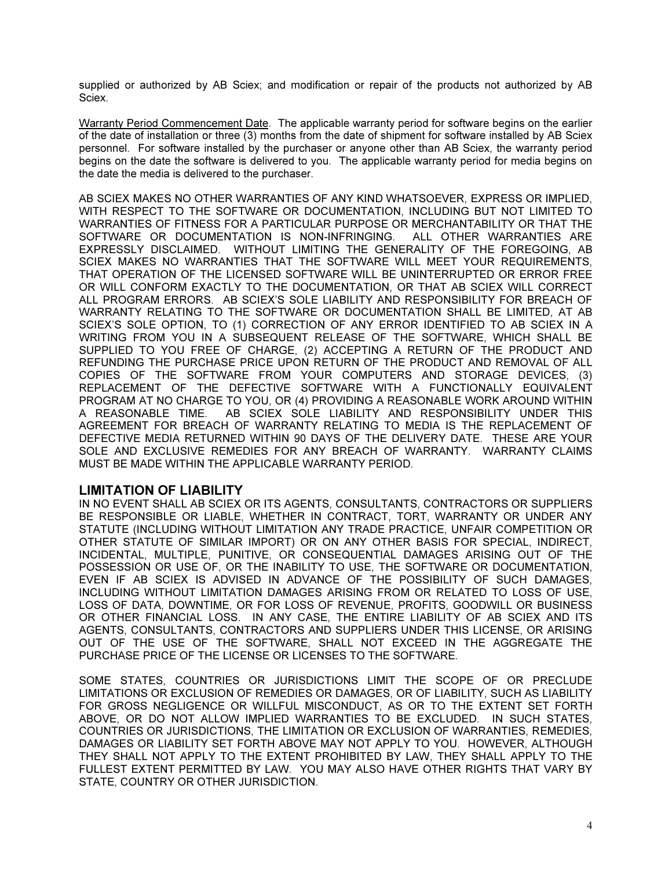supplied or authorized by AB Sciex; and modification or repair of the products not authorized by AB Sciex.

Warranty Period Commencement Date. The applicable warranty period for software begins on the earlier of the date of installation or three (3) months from the date of shipment for software installed by AB Sciex personnel. For software installed by the purchaser or anyone other than AB Sciex, the warranty period begins on the date the software is delivered to you. The applicable warranty period for media begins on the date the media is delivered to the purchaser.

AB SCIEX MAKES NO OTHER WARRANTIES OF ANY KIND WHATSOEVER, EXPRESS OR IMPLIED, WITH RESPECT TO THE SOFTWARE OR DOCUMENTATION, INCLUDING BUT NOT LIMITED TO WARRANTIES OF FITNESS FOR A PARTICULAR PURPOSE OR MERCHANTABILITY OR THAT THE SOFTWARE OR DOCUMENTATION IS NON-INFRINGING. ALL OTHER WARRANTIES ARE EXPRESSLY DISCLAIMED. WITHOUT LIMITING THE GENERALITY OF THE FOREGOING, AB SCIEX MAKES NO WARRANTIES THAT THE SOFTWARE WILL MEET YOUR REQUIREMENTS, THAT OPERATION OF THE LICENSED SOFTWARE WILL BE UNINTERRUPTED OR ERROR FREE OR WILL CONFORM EXACTLY TO THE DOCUMENTATION, OR THAT AB SCIEX WILL CORRECT ALL PROGRAM ERRORS. AB SCIEX'S SOLE LIABILITY AND RESPONSIBILITY FOR BREACH OF WARRANTY RELATING TO THE SOFTWARE OR DOCUMENTATION SHALL BE LIMITED, AT AB SCIEX'S SOLE OPTION, TO (1) CORRECTION OF ANY ERROR IDENTIFIED TO AB SCIEX IN A WRITING FROM YOU IN A SUBSEQUENT RELEASE OF THE SOFTWARE, WHICH SHALL BE SUPPLIED TO YOU FREE OF CHARGE, (2) ACCEPTING A RETURN OF THE PRODUCT AND REFUNDING THE PURCHASE PRICE UPON RETURN OF THE PRODUCT AND REMOVAL OF ALL COPIES OF THE SOFTWARE FROM YOUR COMPUTERS AND STORAGE DEVICES, (3) REPLACEMENT OF THE DEFECTIVE SOFTWARE WITH A FUNCTIONALLY EQUIVALENT PROGRAM AT NO CHARGE TO YOU, OR (4) PROVIDING A REASONABLE WORK AROUND WITHIN A REASONABLE TIME. AB SCIEX SOLE LIABILITY AND RESPONSIBILITY UNDER THIS AGREEMENT FOR BREACH OF WARRANTY RELATING TO MEDIA IS THE REPLACEMENT OF DEFECTIVE MEDIA RETURNED WITHIN 90 DAYS OF THE DELIVERY DATE. THESE ARE YOUR SOLE AND EXCLUSIVE REMEDIES FOR ANY BREACH OF WARRANTY. WARRANTY CLAIMS MUST BE MADE WITHIN THE APPLICABLE WARRANTY PERIOD.

#### LIMITATION OF LIABILITY

IN NO EVENT SHALL AB SCIEX OR ITS AGENTS, CONSULTANTS, CONTRACTORS OR SUPPLIERS BE RESPONSIBLE OR LIABLE, WHETHER IN CONTRACT, TORT, WARRANTY OR UNDER ANY STATUTE (INCLUDING WITHOUT LIMITATION ANY TRADE PRACTICE, UNFAIR COMPETITION OR OTHER STATUTE OF SIMILAR IMPORT) OR ON ANY OTHER BASIS FOR SPECIAL, INDIRECT, INCIDENTAL, MULTIPLE, PUNITIVE, OR CONSEQUENTIAL DAMAGES ARISING OUT OF THE POSSESSION OR USE OF, OR THE INABILITY TO USE, THE SOFTWARE OR DOCUMENTATION, EVEN IF AB SCIEX IS ADVISED IN ADVANCE OF THE POSSIBILITY OF SUCH DAMAGES, INCLUDING WITHOUT LIMITATION DAMAGES ARISING FROM OR RELATED TO LOSS OF USE, LOSS OF DATA, DOWNTIME, OR FOR LOSS OF REVENUE, PROFITS, GOODWILL OR BUSINESS OR OTHER FINANCIAL LOSS. IN ANY CASE, THE ENTIRE LIABILITY OF AB SCIEX AND ITS AGENTS, CONSULTANTS, CONTRACTORS AND SUPPLIERS UNDER THIS LICENSE, OR ARISING OUT OF THE USE OF THE SOFTWARE, SHALL NOT EXCEED IN THE AGGREGATE THE PURCHASE PRICE OF THE LICENSE OR LICENSES TO THE SOFTWARE.

SOME STATES, COUNTRIES OR JURISDICTIONS LIMIT THE SCOPE OF OR PRECLUDE LIMITATIONS OR EXCLUSION OF REMEDIES OR DAMAGES, OR OF LIABILITY, SUCH AS LIABILITY FOR GROSS NEGLIGENCE OR WILLFUL MISCONDUCT, AS OR TO THE EXTENT SET FORTH ABOVE, OR DO NOT ALLOW IMPLIED WARRANTIES TO BE EXCLUDED. IN SUCH STATES, COUNTRIES OR JURISDICTIONS, THE LIMITATION OR EXCLUSION OF WARRANTIES, REMEDIES, DAMAGES OR LIABILITY SET FORTH ABOVE MAY NOT APPLY TO YOU. HOWEVER, ALTHOUGH THEY SHALL NOT APPLY TO THE EXTENT PROHIBITED BY LAW, THEY SHALL APPLY TO THE FULLEST EXTENT PERMITTED BY LAW. YOU MAY ALSO HAVE OTHER RIGHTS THAT VARY BY STATE, COUNTRY OR OTHER JURISDICTION.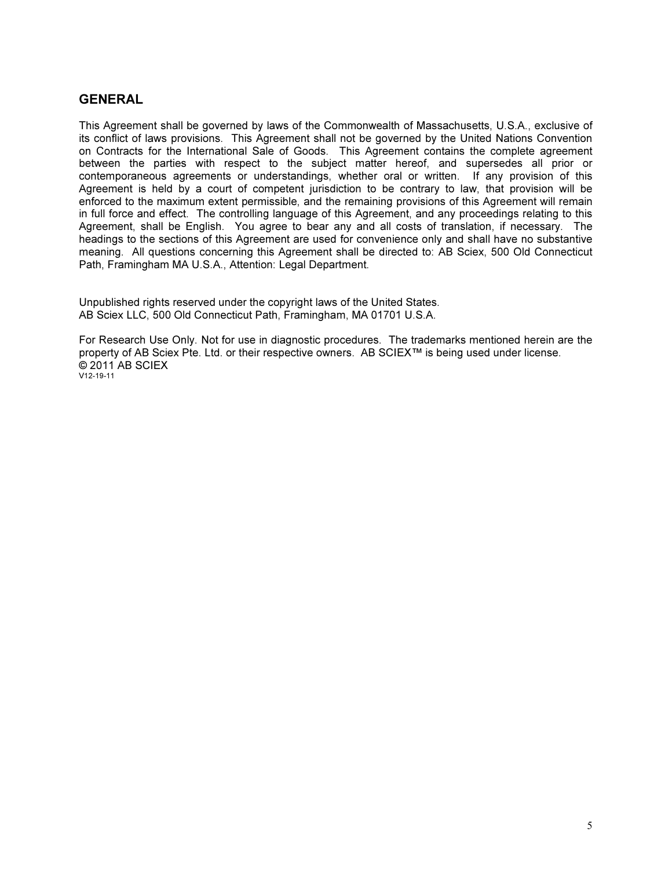### **GENERAL**

This Agreement shall be governed by laws of the Commonwealth of Massachusetts, U.S.A., exclusive of its conflict of laws provisions. This Agreement shall not be governed by the United Nations Convention on Contracts for the International Sale of Goods. This Agreement contains the complete agreement between the parties with respect to the subject matter hereof, and supersedes all prior or contemporaneous agreements or understandings, whether oral or written. If any provision of this Agreement is held by a court of competent jurisdiction to be contrary to law, that provision will be enforced to the maximum extent permissible, and the remaining provisions of this Agreement will remain in full force and effect. The controlling language of this Agreement, and any proceedings relating to this Agreement, shall be English. You agree to bear any and all costs of translation, if necessary. The headings to the sections of this Agreement are used for convenience only and shall have no substantive meaning. All questions concerning this Agreement shall be directed to: AB Sciex, 500 Old Connecticut Path, Framingham MA U.S.A., Attention: Legal Department.

Unpublished rights reserved under the copyright laws of the United States. AB Sciex LLC, 500 Old Connecticut Path, Framingham, MA 01701 U.S.A.

For Research Use Only. Not for use in diagnostic procedures. The trademarks mentioned herein are the property of AB Sciex Pte. Ltd. or their respective owners. AB SCIEX™ is being used under license. © 2011 AB SCIEX V12-19-11